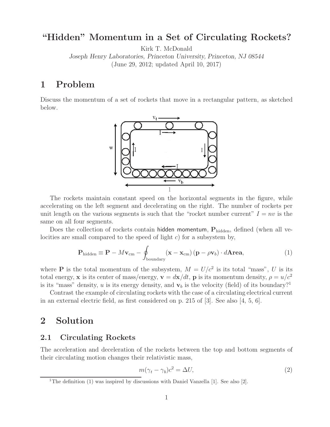# **"Hidden" Momentum in a Set of Circulating Rockets?**

Kirk T. McDonald

*Joseph Henry Laboratories, Princeton University, Princeton, NJ 08544* (June 29, 2012; updated April 10, 2017)

## **1 Problem**

Discuss the momentum of a set of rockets that move in a rectangular pattern, as sketched below.



The rockets maintain constant speed on the horizontal segments in the figure, while accelerating on the left segment and decelerating on the right. The number of rockets per unit length on the various segments is such that the "rocket number current"  $I = nv$  is the same on all four segments.

Does the collection of rockets contain hidden momentum,  $P_{hidden}$ , defined (when all velocities are small compared to the speed of light c) for a subsystem by,

$$
\mathbf{P}_{\text{hidden}} \equiv \mathbf{P} - M\mathbf{v}_{\text{cm}} - \oint_{\text{boundary}} (\mathbf{x} - \mathbf{x}_{\text{cm}}) (\mathbf{p} - \rho \mathbf{v}_b) \cdot d\mathbf{A} \mathbf{r} \mathbf{e} \mathbf{a},\tag{1}
$$

where **P** is the total momentum of the subsystem,  $M = U/c^2$  is its total "mass", U is its total energy, **x** is its center of mass/energy,  $\mathbf{v} = d\mathbf{x}/dt$ , **p** is its momentum density,  $\rho = u/c^2$ is its "mass" density, u is its energy density, and  $v<sub>b</sub>$  is the velocity (field) of its boundary?<sup>1</sup>

Contrast the example of circulating rockets with the case of a circulating electrical current in an external electric field, as first considered on p. 215 of [3]. See also [4, 5, 6].

### **2 Solution**

#### **2.1 Circulating Rockets**

The acceleration and deceleration of the rockets between the top and bottom segments of their circulating motion changes their relativistic mass,

$$
m(\gamma_t - \gamma_b)c^2 = \Delta U,\tag{2}
$$

<sup>&</sup>lt;sup>1</sup>The definition (1) was inspired by discussions with Daniel Vanzella [1]. See also [2].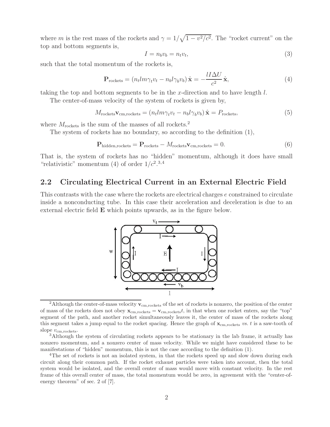where m is the rest mass of the rockets and  $\gamma = 1/\sqrt{1 - v^2/c^2}$ . The "rocket current" on the top and bottom segments is,

$$
I = n_b v_b = n_t v_t,\tag{3}
$$

such that the total momentum of the rockets is,

$$
\mathbf{P}_{\text{rockets}} = (n_t l m \gamma_t v_t - n_b l \gamma_b v_b) \hat{\mathbf{x}} = -\frac{l I \Delta U}{c^2} \hat{\mathbf{x}},\tag{4}
$$

taking the top and bottom segments to be in the x-direction and to have length  $l$ .

The center-of-mass velocity of the system of rockets is given by,

$$
M_{\text{rockets}} \mathbf{v}_{\text{cm,rockets}} = (n_t l m \gamma_t v_t - n_b l \gamma_b v_b) \hat{\mathbf{x}} = P_{\text{rockets}},
$$
\n
$$
(5)
$$

where  $M_{\text{rockets}}$  is the sum of the masses of all rockets.<sup>2</sup>

The system of rockets has no boundary, so according to the definition (1),

$$
\mathbf{P}_{\text{hidden,rockets}} = \mathbf{P}_{\text{rockets}} - M_{\text{rockets}} \mathbf{v}_{\text{cm,rockets}} = 0. \tag{6}
$$

That is, the system of rockets has no "hidden" momentum, although it does have small "relativistic" momentum (4) of order  $1/c^2$ .<sup>3,4</sup>

#### **2.2 Circulating Electrical Current in an External Electric Field**

This contrasts with the case where the rockets are electrical charges e constrained to circulate inside a nonconducting tube. In this case their acceleration and deceleration is due to an external electric field **E** which points upwards, as in the figure below.



<sup>&</sup>lt;sup>2</sup>Although the center-of-mass velocity  $\mathbf{v}_{cm,rockets}$  of the set of rockets is nonzero, the position of the center of mass of the rockets does not obey  $\mathbf{x}_{cm,rockets} = \mathbf{v}_{cm,rockets}t$ , in that when one rocket enters, say the "top" segment of the path, and another rocket simultaneously leaves it, the center of mass of the rockets along this segment takes a jump equal to the rocket spacing. Hence the graph of **x**cm*,*rockets *vs. t* is a saw-tooth of

slope  $v_{\rm cm, rockets}$ .<br><sup>3</sup>Although the system of circulating rockets appears to be stationary in the lab frame, it actually has nonzero momentum, and a nonzero center of mass velocity. While we might have considered these to be manifestations of "hidden" momentum, this is not the case according to the definition (1).

<sup>4</sup>The set of rockets is not an isolated system, in that the rockets speed up and slow down during each circuit along their common path. If the rocket exhaust particles were taken into account, then the total system would be isolated, and the overall center of mass would move with constant velocity. In the rest frame of this overall center of mass, the total momentum would be zero, in agreement with the "center-ofenergy theorem" of sec. 2 of [7].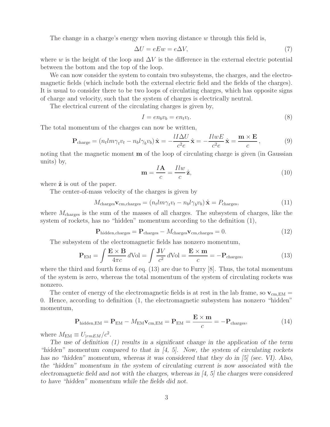The change in a charge's energy when moving distance  $w$  through this field is,

$$
\Delta U = eEw = e\Delta V,\tag{7}
$$

where w is the height of the loop and  $\Delta V$  is the difference in the external electric potential between the bottom and the top of the loop.

We can now consider the system to contain two subsystems, the charges, and the electromagnetic fields (which include both the external electric field and the fields of the charges). It is usual to consider there to be two loops of circulating charges, which has opposite signs of charge and velocity, such that the system of charges is electrically neutral.

The electrical current of the circulating charges is given by,

$$
I = en_b v_b = en_t v_t. \tag{8}
$$

The total momentum of the charges can now be written,

$$
\mathbf{P}_{\text{charge}} = (n_t l m \gamma_t v_t - n_b l \gamma_b v_b) \hat{\mathbf{x}} = -\frac{l I \Delta U}{c^2 e} \hat{\mathbf{x}} = -\frac{I l w E}{c^2 e} \hat{\mathbf{x}} = \frac{\mathbf{m} \times \mathbf{E}}{c},\tag{9}
$$

noting that the magnetic moment **m** of the loop of circulating charge is given (in Gaussian units) by,

$$
\mathbf{m} = \frac{I\mathbf{A}}{c} = \frac{I l w}{c} \hat{\mathbf{z}},\tag{10}
$$

where  $\hat{z}$  is out of the paper.

The center-of-mass velocity of the charges is given by

$$
M_{\text{charges}} \mathbf{v}_{\text{cm,charges}} = (n_t l m \gamma_t v_t - n_b l \gamma_b v_b) \hat{\mathbf{x}} = P_{\text{charges}},
$$
\n(11)

where  $M_{\text{charges}}$  is the sum of the masses of all charges. The subsystem of charges, like the system of rockets, has no "hidden" momentum according to the definition (1),

$$
\mathbf{P}_{\text{hidden,charges}} = \mathbf{P}_{\text{charges}} - M_{\text{charges}} \mathbf{v}_{\text{cm,charges}} = 0. \tag{12}
$$

The subsystem of the electromagnetic fields has nonzero momentum,

$$
\mathbf{P}_{\text{EM}} = \int \frac{\mathbf{E} \times \mathbf{B}}{4\pi c} d\text{Vol} = \int \frac{\mathbf{J}V}{c^2} d\text{Vol} = \frac{\mathbf{E} \times \mathbf{m}}{c} = -\mathbf{P}_{\text{charges}},\tag{13}
$$

where the third and fourth forms of eq. (13) are due to Furry [8]. Thus, the total momentum of the system is zero, whereas the total momentum of the system of circulating rockets was nonzero.

The center of energy of the electromagnetic fields is at rest in the lab frame, so  $\mathbf{v}_{cm,EM} =$ 0. Hence, according to definition (1, the electromagnetic subsystem has nonzero "hidden" momentum,

$$
\mathbf{P}_{\text{hidden,EM}} = \mathbf{P}_{\text{EM}} - M_{\text{EM}} \mathbf{v}_{\text{cm,EM}} = \mathbf{P}_{\text{EM}} = \frac{\mathbf{E} \times \mathbf{m}}{c} = -\mathbf{P}_{\text{charges}},\tag{14}
$$

where  $M_{\text{EM}} \equiv U_{|rmEM}/c^2$ .

*The use of definition (1) results in a significant change in the application of the term "hidden" momentum compared to that in [4, 5]. Now, the system of circulating rockets has no "hidden" momentum, whereas it was considered that they do in [5] (sec. VI). Also, the "hidden" momentum in the system of circulating current is now associated with the electromagnetic field and not with the charges, whereas in [4, 5] the charges were considered to have "hidden" momentum while the fields did not.*